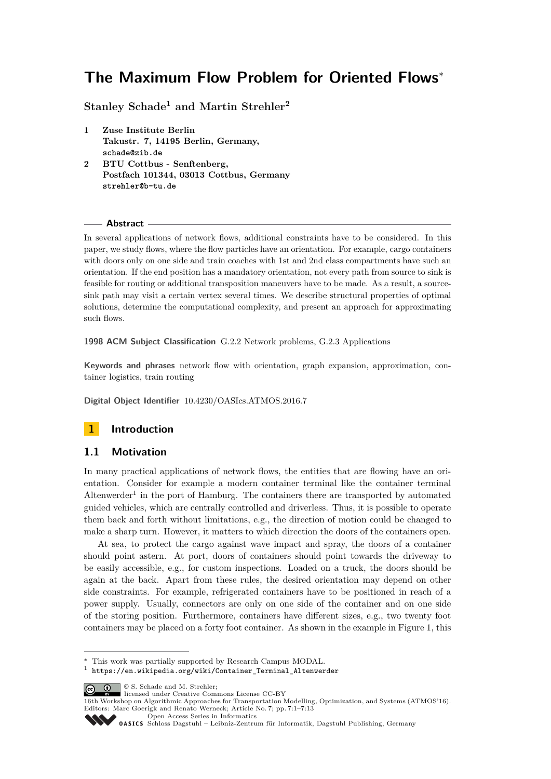# **The Maximum Flow Problem for Oriented Flows**<sup>∗</sup>

**Stanley Schade<sup>1</sup> and Martin Strehler<sup>2</sup>**

- **1 Zuse Institute Berlin Takustr. 7, 14195 Berlin, Germany, schade@zib.de**
- **2 BTU Cottbus Senftenberg, Postfach 101344, 03013 Cottbus, Germany strehler@b-tu.de**

#### **Abstract**

In several applications of network flows, additional constraints have to be considered. In this paper, we study flows, where the flow particles have an orientation. For example, cargo containers with doors only on one side and train coaches with 1st and 2nd class compartments have such an orientation. If the end position has a mandatory orientation, not every path from source to sink is feasible for routing or additional transposition maneuvers have to be made. As a result, a sourcesink path may visit a certain vertex several times. We describe structural properties of optimal solutions, determine the computational complexity, and present an approach for approximating such flows.

**1998 ACM Subject Classification** G.2.2 Network problems, G.2.3 Applications

**Keywords and phrases** network flow with orientation, graph expansion, approximation, container logistics, train routing

**Digital Object Identifier** [10.4230/OASIcs.ATMOS.2016.7](http://dx.doi.org/10.4230/OASIcs.ATMOS.2016.7)

# **1 Introduction**

## **1.1 Motivation**

In many practical applications of network flows, the entities that are flowing have an orientation. Consider for example a modern container terminal like the container terminal Altenwerder<sup>[1](#page-0-0)</sup> in the port of Hamburg. The containers there are transported by automated guided vehicles, which are centrally controlled and driverless. Thus, it is possible to operate them back and forth without limitations, e.g., the direction of motion could be changed to make a sharp turn. However, it matters to which direction the doors of the containers open.

At sea, to protect the cargo against wave impact and spray, the doors of a container should point astern. At port, doors of containers should point towards the driveway to be easily accessible, e.g., for custom inspections. Loaded on a truck, the doors should be again at the back. Apart from these rules, the desired orientation may depend on other side constraints. For example, refrigerated containers have to be positioned in reach of a power supply. Usually, connectors are only on one side of the container and on one side of the storing position. Furthermore, containers have different sizes, e.g., two twenty foot containers may be placed on a forty foot container. As shown in the example in Figure [1,](#page-1-0) this

<sup>∗</sup> This work was partially supported by Research Campus MODAL.

<span id="page-0-0"></span><sup>1</sup> [https://en.wikipedia.org/wiki/Container\\_Terminal\\_Altenwerder](https://en.wikipedia.org/wiki/Container_Terminal_Altenwerder)

<sup>©</sup> S. Schade and M. Strehler; licensed under Creative Commons License CC-BY

<sup>16</sup>th Workshop on Algorithmic Approaches for Transportation Modelling, Optimization, and Systems (ATMOS'16). Editors: Marc Goerigk and Renato Werneck; Article No. 7; pp. 7:1–7[:13](#page-12-0)

[Open Access Series in Informatics](http://www.dagstuhl.de/oasics/)

[Schloss Dagstuhl – Leibniz-Zentrum für Informatik, Dagstuhl Publishing, Germany](http://www.dagstuhl.de)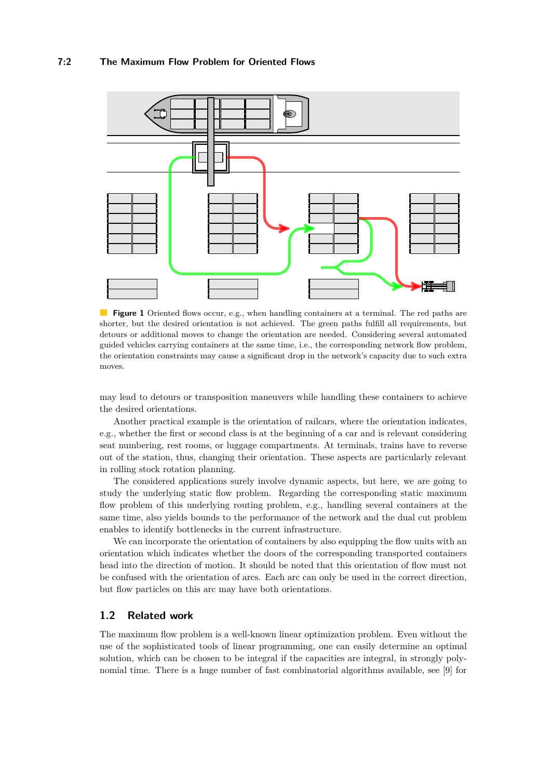<span id="page-1-0"></span>

**Figure 1** Oriented flows occur, e.g., when handling containers at a terminal. The red paths are shorter, but the desired orientation is not achieved. The green paths fulfill all requirements, but detours or additional moves to change the orientation are needed. Considering several automated guided vehicles carrying containers at the same time, i.e., the corresponding network flow problem, the orientation constraints may cause a significant drop in the network's capacity due to such extra moves.

may lead to detours or transposition maneuvers while handling these containers to achieve the desired orientations.

Another practical example is the orientation of railcars, where the orientation indicates, e.g., whether the first or second class is at the beginning of a car and is relevant considering seat numbering, rest rooms, or luggage compartments. At terminals, trains have to reverse out of the station, thus, changing their orientation. These aspects are particularly relevant in rolling stock rotation planning.

The considered applications surely involve dynamic aspects, but here, we are going to study the underlying static flow problem. Regarding the corresponding static maximum flow problem of this underlying routing problem, e.g., handling several containers at the same time, also yields bounds to the performance of the network and the dual cut problem enables to identify bottlenecks in the current infrastructure.

We can incorporate the orientation of containers by also equipping the flow units with an orientation which indicates whether the doors of the corresponding transported containers head into the direction of motion. It should be noted that this orientation of flow must not be confused with the orientation of arcs. Each arc can only be used in the correct direction, but flow particles on this arc may have both orientations.

## <span id="page-1-1"></span>**1.2 Related work**

The maximum flow problem is a well-known linear optimization problem. Even without the use of the sophisticated tools of linear programming, one can easily determine an optimal solution, which can be chosen to be integral if the capacities are integral, in strongly polynomial time. There is a huge number of fast combinatorial algorithms available, see [\[9\]](#page-12-1) for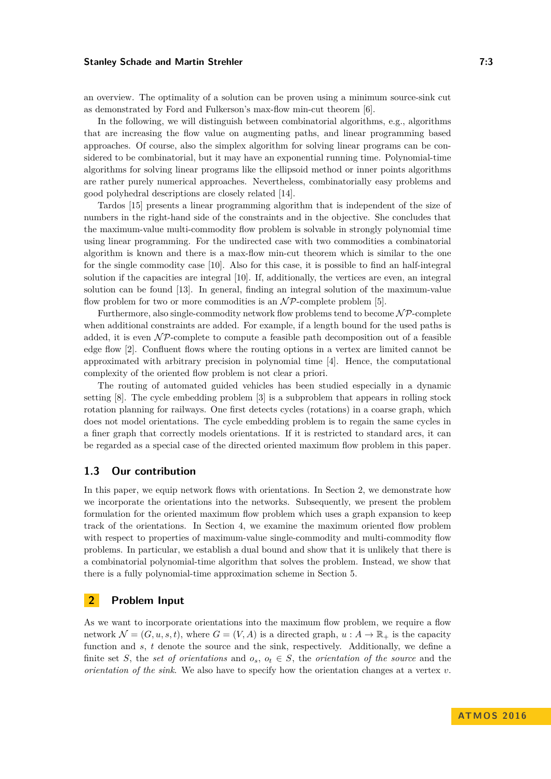#### **Stanley Schade and Martin Strehler 7:3**

an overview. The optimality of a solution can be proven using a minimum source-sink cut as demonstrated by Ford and Fulkerson's max-flow min-cut theorem [\[6\]](#page-12-2).

In the following, we will distinguish between combinatorial algorithms, e.g., algorithms that are increasing the flow value on augmenting paths, and linear programming based approaches. Of course, also the simplex algorithm for solving linear programs can be considered to be combinatorial, but it may have an exponential running time. Polynomial-time algorithms for solving linear programs like the ellipsoid method or inner points algorithms are rather purely numerical approaches. Nevertheless, combinatorially easy problems and good polyhedral descriptions are closely related [\[14\]](#page-12-3).

Tardos [\[15\]](#page-12-4) presents a linear programming algorithm that is independent of the size of numbers in the right-hand side of the constraints and in the objective. She concludes that the maximum-value multi-commodity flow problem is solvable in strongly polynomial time using linear programming. For the undirected case with two commodities a combinatorial algorithm is known and there is a max-flow min-cut theorem which is similar to the one for the single commodity case [\[10\]](#page-12-5). Also for this case, it is possible to find an half-integral solution if the capacities are integral [\[10\]](#page-12-5). If, additionally, the vertices are even, an integral solution can be found [\[13\]](#page-12-6). In general, finding an integral solution of the maximum-value flow problem for two or more commodities is an  $N\mathcal{P}$ -complete problem [\[5\]](#page-12-7).

Furthermore, also single-commodity network flow problems tend to become  $\mathcal{NP}$ -complete when additional constraints are added. For example, if a length bound for the used paths is added, it is even  $\mathcal{NP}$ -complete to compute a feasible path decomposition out of a feasible edge flow [\[2\]](#page-12-8). Confluent flows where the routing options in a vertex are limited cannot be approximated with arbitrary precision in polynomial time [\[4\]](#page-12-9). Hence, the computational complexity of the oriented flow problem is not clear a priori.

The routing of automated guided vehicles has been studied especially in a dynamic setting [\[8\]](#page-12-10). The cycle embedding problem [\[3\]](#page-12-11) is a subproblem that appears in rolling stock rotation planning for railways. One first detects cycles (rotations) in a coarse graph, which does not model orientations. The cycle embedding problem is to regain the same cycles in a finer graph that correctly models orientations. If it is restricted to standard arcs, it can be regarded as a special case of the directed oriented maximum flow problem in this paper.

## **1.3 Our contribution**

In this paper, we equip network flows with orientations. In Section [2,](#page-2-0) we demonstrate how we incorporate the orientations into the networks. Subsequently, we present the problem formulation for the oriented maximum flow problem which uses a graph expansion to keep track of the orientations. In Section [4,](#page-6-0) we examine the maximum oriented flow problem with respect to properties of maximum-value single-commodity and multi-commodity flow problems. In particular, we establish a dual bound and show that it is unlikely that there is a combinatorial polynomial-time algorithm that solves the problem. Instead, we show that there is a fully polynomial-time approximation scheme in Section [5.](#page-10-0)

# <span id="page-2-0"></span>**2 Problem Input**

As we want to incorporate orientations into the maximum flow problem, we require a flow network  $\mathcal{N} = (G, u, s, t)$ , where  $G = (V, A)$  is a directed graph,  $u : A \to \mathbb{R}_+$  is the capacity function and *s*, *t* denote the source and the sink, respectively. Additionally, we define a finite set *S*, the *set of orientations* and  $o_s$ ,  $o_t \in S$ , the *orientation of the source* and the *orientation of the sink*. We also have to specify how the orientation changes at a vertex *v*.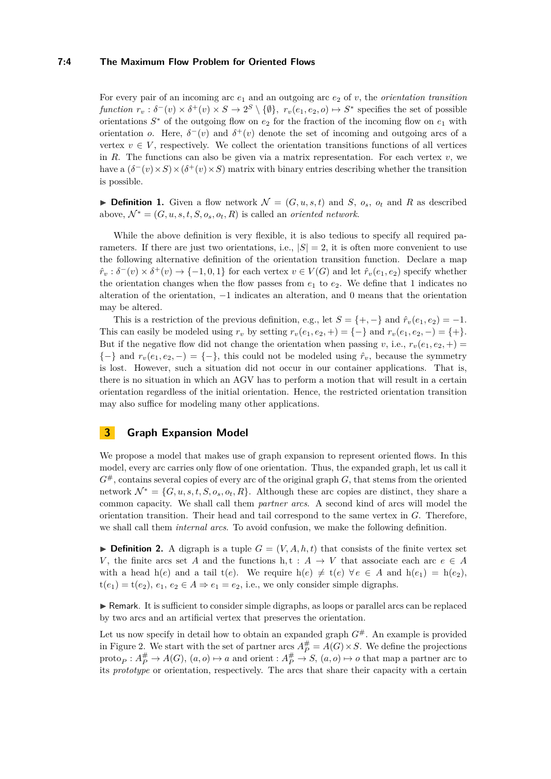## **7:4 The Maximum Flow Problem for Oriented Flows**

For every pair of an incoming arc  $e_1$  and an outgoing arc  $e_2$  of *v*, the *orientation transition function*  $r_v : \delta^-(v) \times \delta^+(v) \times S \to 2^S \setminus \{\emptyset\},\ r_v(e_1, e_2, o) \mapsto S^*$  specifies the set of possible orientations  $S^*$  of the outgoing flow on  $e_2$  for the fraction of the incoming flow on  $e_1$  with orientation *o*. Here,  $\delta^-(v)$  and  $\delta^+(v)$  denote the set of incoming and outgoing arcs of a vertex  $v \in V$ , respectively. We collect the orientation transitions functions of all vertices in *R*. The functions can also be given via a matrix representation. For each vertex  $v$ , we have a  $(\delta^-(v) \times S) \times (\delta^+(v) \times S)$  matrix with binary entries describing whether the transition is possible.

 $\triangleright$  **Definition 1.** Given a flow network  $\mathcal{N} = (G, u, s, t)$  and *S*,  $o_s$ ,  $o_t$  and *R* as described above,  $\mathcal{N}^* = (G, u, s, t, S, o_s, o_t, R)$  is called an *oriented network*.

While the above definition is very flexible, it is also tedious to specify all required parameters. If there are just two orientations, i.e.,  $|S| = 2$ , it is often more convenient to use the following alternative definition of the orientation transition function. Declare a map  $\hat{r}_v : \delta^-(v) \times \delta^+(v) \to \{-1, 0, 1\}$  for each vertex  $v \in V(G)$  and let  $\hat{r}_v(e_1, e_2)$  specify whether the orientation changes when the flow passes from  $e_1$  to  $e_2$ . We define that 1 indicates no alteration of the orientation, −1 indicates an alteration, and 0 means that the orientation may be altered.

This is a restriction of the previous definition, e.g., let  $S = \{+, -\}$  and  $\hat{r}_v(e_1, e_2) = -1$ . This can easily be modeled using  $r_v$  by setting  $r_v(e_1, e_2, +) = \{-\}$  and  $r_v(e_1, e_2, -) = \{+\}.$ But if the negative flow did not change the orientation when passing *v*, i.e.,  $r_v(e_1, e_2, +)$  ${-}$ } and  $r_v(e_1, e_2, -) = {-}$ }, this could not be modeled using  $\hat{r}_v$ , because the symmetry is lost. However, such a situation did not occur in our container applications. That is, there is no situation in which an AGV has to perform a motion that will result in a certain orientation regardless of the initial orientation. Hence, the restricted orientation transition may also suffice for modeling many other applications.

# **3 Graph Expansion Model**

We propose a model that makes use of graph expansion to represent oriented flows. In this model, every arc carries only flow of one orientation. Thus, the expanded graph, let us call it  $G^{\#}$ , contains several copies of every arc of the original graph *G*, that stems from the oriented network  $\mathcal{N}^* = \{G, u, s, t, S, o_s, o_t, R\}$ . Although these arc copies are distinct, they share a common capacity. We shall call them *partner arcs*. A second kind of arcs will model the orientation transition. Their head and tail correspond to the same vertex in *G*. Therefore, we shall call them *internal arcs*. To avoid confusion, we make the following definition.

**Definition 2.** A digraph is a tuple  $G = (V, A, h, t)$  that consists of the finite vertex set *V*, the finite arcs set *A* and the functions  $h, t : A \rightarrow V$  that associate each arc  $e \in A$ with a head h(*e*) and a tail t(*e*). We require h(*e*)  $\neq$  t(*e*)  $\forall$  *e*  $\in$  *A* and h(*e*<sub>1</sub>) = h(*e*<sub>2</sub>),  $t(e_1) = t(e_2), e_1, e_2 \in A \Rightarrow e_1 = e_2$ , i.e., we only consider simple digraphs.

 $\blacktriangleright$  Remark. It is sufficient to consider simple digraphs, as loops or parallel arcs can be replaced by two arcs and an artificial vertex that preserves the orientation.

Let us now specify in detail how to obtain an expanded graph  $G^*$ . An example is provided in Figure [2.](#page-4-0) We start with the set of partner arcs  $A_P^{\#} = A(G) \times S$ . We define the projections  $\text{proto}_P: A_P^{\#} \to A(G), (a, o) \mapsto a$  and orient  $A_P^{\#} \to S, (a, o) \mapsto o$  that map a partner arc to its *prototype* or orientation, respectively. The arcs that share their capacity with a certain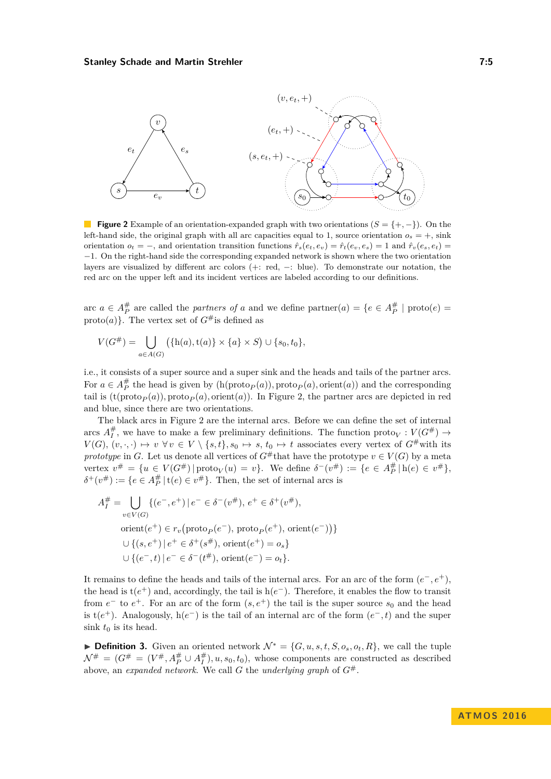<span id="page-4-0"></span>

**Figure 2** Example of an orientation-expanded graph with two orientations  $(S = \{+, -\})$ . On the left-hand side, the original graph with all arc capacities equal to 1, source orientation  $o_s = +$ , sink orientation  $o_t = -$ , and orientation transition functions  $\hat{r}_s(e_t, e_v) = \hat{r}_t(e_v, e_s) = 1$  and  $\hat{r}_v(e_s, e_t) =$ −1. On the right-hand side the corresponding expanded network is shown where the two orientation layers are visualized by different arc colors (+: red, −: blue). To demonstrate our notation, the red arc on the upper left and its incident vertices are labeled according to our definitions.

arc  $a \in A_P^{\#}$  are called the *partners of a* and we define  $\text{partner}(a) = \{e \in A_P^{\#} \mid \text{proto}(e) =$ proto(*a*). The vertex set of  $G^{\#}$  is defined as

$$
V(G^{\#}) = \bigcup_{a \in A(G)} (\{h(a), t(a)\} \times \{a\} \times S) \cup \{s_0, t_0\},\
$$

i.e., it consists of a super source and a super sink and the heads and tails of the partner arcs. For  $a \in A_P^{\#}$  the head is given by  $(h(\text{proto}_P(a)), \text{proto}_P(a), \text{orient}(a))$  and the corresponding tail is  $(t(\text{proto}_P(a)), \text{proto}_P(a), \text{orient}(a))$ . In Figure [2,](#page-4-0) the partner arcs are depicted in red and blue, since there are two orientations.

The black arcs in Figure [2](#page-4-0) are the internal arcs. Before we can define the set of internal arcs  $A_I^{\#}$ , we have to make a few preliminary definitions. The function  $\text{proto}_V : V(G^{\#}) \to$  $V(G), (v, \cdot, \cdot) \mapsto v \,\forall v \in V \setminus \{s, t\}, s_0 \mapsto s, t_0 \mapsto t$  associates every vertex of  $G^{\#}$  with its *prototype* in *G*. Let us denote all vertices of  $G^*$  that have the prototype  $v \in V(G)$  by a meta vertex  $v^{\#} = \{u \in V(G^{\#}) | \text{proto}_V(u) = v\}$ . We define  $\delta^-(v^{\#}) := \{e \in A_P^{\#} | h(e) \in v^{\#}\},$  $\delta^+(v^{\#}) := \{e \in A_P^{\#} \, | \, \text{t}(e) \in v^{\#}\}.$  Then, the set of internal arcs is

$$
A_I^{\#} = \bigcup_{v \in V(G)} \{ (e^-, e^+) \mid e^- \in \delta^-(v^{\#}), e^+ \in \delta^+(v^{\#}),
$$
  
orient $(e^+) \in r_v$ (proto<sub>P</sub> $(e^-)$ , proto<sub>P</sub> $(e^+)$ , orient $(e^-)$ ))}  
 $\cup \{ (s, e^+) \mid e^+ \in \delta^+(s^{\#}), \text{ orient}(e^+) = o_s \}$   
 $\cup \{ (e^-, t) \mid e^- \in \delta^-(t^{\#}), \text{ orient}(e^-) = o_t \}.$ 

It remains to define the heads and tails of the internal arcs. For an arc of the form  $(e^-, e^+)$ , the head is  $t(e^+)$  and, accordingly, the tail is  $h(e^-)$ . Therefore, it enables the flow to transit from  $e^-$  to  $e^+$ . For an arc of the form  $(s, e^+)$  the tail is the super source  $s_0$  and the head is t( $e^+$ ). Analogously, h( $e^-$ ) is the tail of an internal arc of the form  $(e^-, t)$  and the super sink  $t_0$  is its head.

**► Definition 3.** Given an oriented network  $\mathcal{N}^* = \{G, u, s, t, S, o_s, o_t, R\}$ , we call the tuple  $\mathcal{N}^{\#} = (G^{\#} = (V^{\#}, A^{\#}_P \cup A^{\#}_I), u, s_0, t_0)$ , whose components are constructed as described above, an *expanded network*. We call *G* the *underlying graph* of  $G^{\#}$ .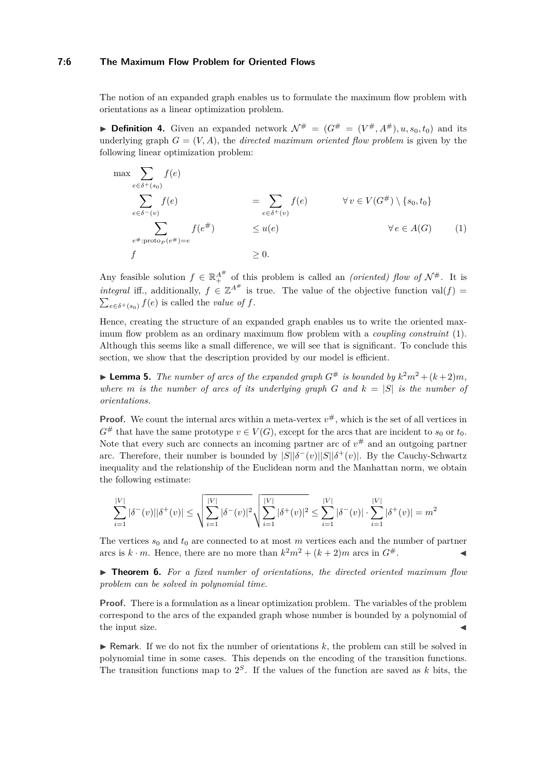#### **7:6 The Maximum Flow Problem for Oriented Flows**

The notion of an expanded graph enables us to formulate the maximum flow problem with orientations as a linear optimization problem.

<span id="page-5-1"></span>**Definition 4.** Given an expanded network  $\mathcal{N}^{\#} = (G^{\#} = (V^{\#}, A^{\#}), u, s_0, t_0)$  and its underlying graph  $G = (V, A)$ , the *directed maximum oriented flow problem* is given by the following linear optimization problem:

<span id="page-5-0"></span>
$$
\max \sum_{e \in \delta^+(s_0)} f(e)
$$
\n
$$
\sum_{e \in \delta^-(v)} f(e)
$$
\n
$$
= \sum_{e \in \delta^+(v)} f(e)
$$
\n
$$
\forall v \in V(G^*) \setminus \{s_0, t_0\}
$$
\n
$$
\sum_{e^{\#}: \text{proto}_P(e^{\#})=e} f(e^{\#})
$$
\n
$$
\leq u(e)
$$
\n
$$
\forall e \in A(G)
$$
\n
$$
\leq 0.
$$
\n(1)

Any feasible solution  $f \in \mathbb{R}_+^{A^{\#}}$  of this problem is called an *(oriented)* flow of  $\mathcal{N}^{\#}$ . It is *integral* iff., additionally,  $f \in \mathbb{Z}^{A^{\#}}$  is true. The value of the objective function val $(f)$  =  $\sum_{e \in \delta^+(s_0)} f(e)$  is called the *value of f*.

Hence, creating the structure of an expanded graph enables us to write the oriented maximum flow problem as an ordinary maximum flow problem with a *coupling constraint* [\(1\)](#page-5-0). Although this seems like a small difference, we will see that is significant. To conclude this section, we show that the description provided by our model is efficient.

**Example 1.** The number of arcs of the expanded graph  $G^{\#}$  is bounded by  $k^2m^2 + (k+2)m$ , *where m is the number of arcs of its underlying graph G* and  $k = |S|$  *is the number of orientations.*

**Proof.** We count the internal arcs within a meta-vertex  $v^{\#}$ , which is the set of all vertices in  $G^{\#}$  that have the same prototype  $v \in V(G)$ , except for the arcs that are incident to  $s_0$  or  $t_0$ . Note that every such arc connects an incoming partner arc of  $v^{\#}$  and an outgoing partner arc. Therefore, their number is bounded by  $|S||\delta^-(v)||S||\delta^+(v)$ . By the Cauchy-Schwartz inequality and the relationship of the Euclidean norm and the Manhattan norm, we obtain the following estimate:

$$
\sum_{i=1}^{|V|} |\delta^-(v)| |\delta^+(v)| \le \sqrt{\sum_{i=1}^{|V|} |\delta^-(v)|^2} \sqrt{\sum_{i=1}^{|V|} |\delta^+(v)|^2} \le \sum_{i=1}^{|V|} |\delta^-(v)| \cdot \sum_{i=1}^{|V|} |\delta^+(v)| = m^2
$$

The vertices  $s_0$  and  $t_0$  are connected to at most  $m$  vertices each and the number of partner arcs is  $k \cdot m$ . Hence, there are no more than  $k^2m^2 + (k+2)m$  arcs in  $G^{\#}$ .

▶ **Theorem 6.** For a fixed number of orientations, the directed oriented maximum flow *problem can be solved in polynomial time.*

**Proof.** There is a formulation as a linear optimization problem. The variables of the problem correspond to the arcs of the expanded graph whose number is bounded by a polynomial of the input size.

 $\blacktriangleright$  Remark. If we do not fix the number of orientations k, the problem can still be solved in polynomial time in some cases. This depends on the encoding of the transition functions. The transition functions map to  $2<sup>S</sup>$ . If the values of the function are saved as *k* bits, the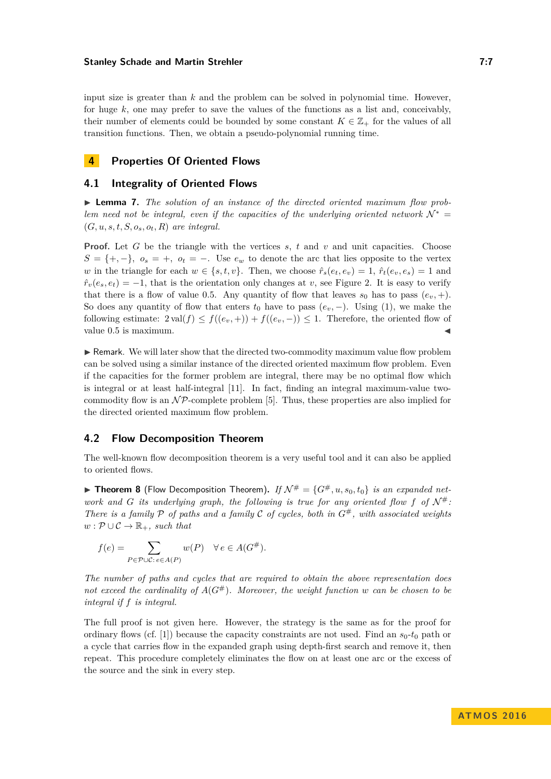#### **Stanley Schade and Martin Strehler 7:7 7:7**

input size is greater than *k* and the problem can be solved in polynomial time. However, for huge *k*, one may prefer to save the values of the functions as a list and, conceivably, their number of elements could be bounded by some constant  $K \in \mathbb{Z}_+$  for the values of all transition functions. Then, we obtain a pseudo-polynomial running time.

# <span id="page-6-0"></span>**4 Properties Of Oriented Flows**

## **4.1 Integrality of Oriented Flows**

▶ **Lemma 7.** *The solution of an instance of the directed oriented maximum flow problem need not be integral, even if the capacities of the underlying oriented network*  $\mathcal{N}^*$  =  $(G, u, s, t, S, o<sub>s</sub>, o<sub>t</sub>, R)$  *are integral.* 

**Proof.** Let *G* be the triangle with the vertices *s*, *t* and *v* and unit capacities. Choose  $S = \{+, -\}, o_s = +, o_t = -$ . Use  $e_w$  to denote the arc that lies opposite to the vertex *w* in the triangle for each  $w \in \{s, t, v\}$ . Then, we choose  $\hat{r}_s(e_t, e_v) = 1$ ,  $\hat{r}_t(e_v, e_s) = 1$  and  $\hat{r}_v(e_s, e_t) = -1$ , that is the orientation only changes at *v*, see Figure [2.](#page-4-0) It is easy to verify that there is a flow of value 0.5. Any quantity of flow that leaves  $s_0$  has to pass  $(e_v, +)$ . So does any quantity of flow that enters  $t_0$  have to pass  $(e_v, -)$ . Using [\(1\)](#page-5-0), we make the following estimate:  $2 \text{ val}(f) \leq f((e_v, +)) + f((e_v, -)) \leq 1$ . Therefore, the oriented flow of value 0.5 is maximum.

 $\triangleright$  Remark. We will later show that the directed two-commodity maximum value flow problem can be solved using a similar instance of the directed oriented maximum flow problem. Even if the capacities for the former problem are integral, there may be no optimal flow which is integral or at least half-integral [\[11\]](#page-12-12). In fact, finding an integral maximum-value twocommodity flow is an  $\mathcal{NP}$ -complete problem [\[5\]](#page-12-7). Thus, these properties are also implied for the directed oriented maximum flow problem.

#### **4.2 Flow Decomposition Theorem**

The well-known flow decomposition theorem is a very useful tool and it can also be applied to oriented flows.

**Figure 1 Figure 1 8** (Flow Decomposition Theorem). If  $\mathcal{N}^{\#} = \{G^{\#}, u, s_0, t_0\}$  *is an expanded network and G its underlying graph, the following is true for any oriented flow f of*  $\mathcal{N}^{\#}$ : *There is a family* P *of paths and a family* C *of cycles, both in G*#*, with associated weights*  $w: \mathcal{P} \cup \mathcal{C} \rightarrow \mathbb{R}_+$ *, such that* 

$$
f(e) = \sum_{P \in \mathcal{P} \cup \mathcal{C} : e \in A(P)} w(P) \quad \forall e \in A(G^{\#}).
$$

*The number of paths and cycles that are required to obtain the above representation does not exceed the cardinality of*  $A(G^{\#})$ *. Moreover, the weight function w can be chosen to be integral if f is integral.*

The full proof is not given here. However, the strategy is the same as for the proof for ordinary flows (cf. [\[1\]](#page-12-13)) because the capacity constraints are not used. Find an  $s_0$ - $t_0$  path or a cycle that carries flow in the expanded graph using depth-first search and remove it, then repeat. This procedure completely eliminates the flow on at least one arc or the excess of the source and the sink in every step.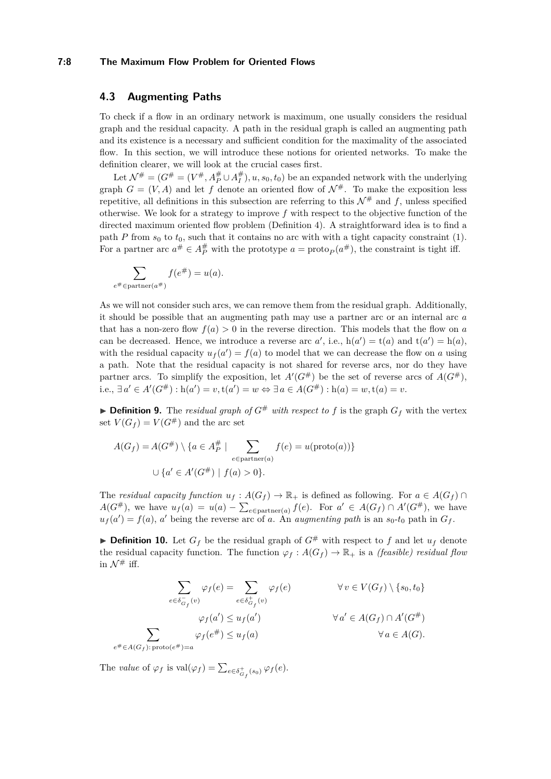#### **7:8 The Maximum Flow Problem for Oriented Flows**

## **4.3 Augmenting Paths**

To check if a flow in an ordinary network is maximum, one usually considers the residual graph and the residual capacity. A path in the residual graph is called an augmenting path and its existence is a necessary and sufficient condition for the maximality of the associated flow. In this section, we will introduce these notions for oriented networks. To make the definition clearer, we will look at the crucial cases first.

Let  $\mathcal{N}^{\#} = (G^{\#} = (V^{\#}, A^{\#}_P \cup A^{\#}_I), u, s_0, t_0)$  be an expanded network with the underlying graph  $G = (V, A)$  and let f denote an oriented flow of  $\mathcal{N}^{\#}$ . To make the exposition less repetitive, all definitions in this subsection are referring to this  $\mathcal{N}^{\#}$  and f, unless specified otherwise. We look for a strategy to improve *f* with respect to the objective function of the directed maximum oriented flow problem (Definition [4\)](#page-5-1). A straightforward idea is to find a path *P* from  $s_0$  to  $t_0$ , such that it contains no arc with with a tight capacity constraint [\(1\)](#page-5-0). For a partner arc  $a^{\#} \in A_P^{\#}$  with the prototype  $a = \text{proto}_P(a^{\#})$ , the constraint is tight iff.

$$
\sum_{e^{\#} \in \text{partner}(a^{\#})} f(e^{\#}) = u(a).
$$

As we will not consider such arcs, we can remove them from the residual graph. Additionally, it should be possible that an augmenting path may use a partner arc or an internal arc *a* that has a non-zero flow  $f(a) > 0$  in the reverse direction. This models that the flow on *a* can be decreased. Hence, we introduce a reverse arc  $a'$ , i.e.,  $h(a') = t(a)$  and  $t(a') = h(a)$ , with the residual capacity  $u_f(a') = f(a)$  to model that we can decrease the flow on *a* using a path. Note that the residual capacity is not shared for reverse arcs, nor do they have partner arcs. To simplify the exposition, let  $A'(G^{\#})$  be the set of reverse arcs of  $A(G^{\#})$ , i.e.,  $\exists a' \in A'(G^#):$  h(*a'*) = *v*, t(*a'*) = *w* ⇔  $\exists a \in A(G^#):$  h(*a*) = *w*, t(*a*) = *v*.

 $\triangleright$  **Definition 9.** The *residual graph of*  $G^{\#}$  *with respect to f* is the graph  $G_f$  with the vertex set  $V(G_f) = V(G^{\#})$  and the arc set

$$
A(G_f) = A(G^{\#}) \setminus \{a \in A_P^{\#} \mid \sum_{e \in \text{partner}(a)} f(e) = u(\text{proto}(a))\}
$$

$$
\cup \{a' \in A'(G^{\#}) \mid f(a) > 0\}.
$$

The *residual capacity function*  $u_f : A(G_f) \to \mathbb{R}_+$  is defined as following. For  $a \in A(G_f) \cap$ *A*(*G*<sup>#</sup>), we have  $u_f(a) = u(a) - \sum_{e \in \text{partner}(a)} f(e)$ . For  $a' \in A(G_f) \cap A'(G^#)$ , we have  $u_f(a') = f(a)$ , *a*' being the reverse arc of *a*. An *augmenting path* is an  $s_0$ -*t*<sub>0</sub> path in  $G_f$ .

 $\triangleright$  **Definition 10.** Let  $G_f$  be the residual graph of  $G^{\#}$  with respect to f and let  $u_f$  denote the residual capacity function. The function  $\varphi_f : A(G_f) \to \mathbb{R}_+$  is a *(feasible) residual flow* in  $\mathcal{N}^{\#}$  iff.

$$
\sum_{e \in \delta_{G_f}^-(v)} \varphi_f(e) = \sum_{e \in \delta_{G_f}^+(v)} \varphi_f(e) \qquad \forall v \in V(G_f) \setminus \{s_0, t_0\}
$$

$$
\varphi_f(a') \le u_f(a') \qquad \forall a' \in A(G_f) \cap A'(G^{\#})
$$

$$
\sum_{e \notin \in A(G_f): \text{proto}(e^{\#})=a} \varphi_f(e^{\#}) \le u_f(a) \qquad \forall a \in A(G).
$$

The *value* of  $\varphi_f$  is  $\text{val}(\varphi_f) = \sum_{e \in \delta_{G_f}^+(s_0)} \varphi_f(e)$ .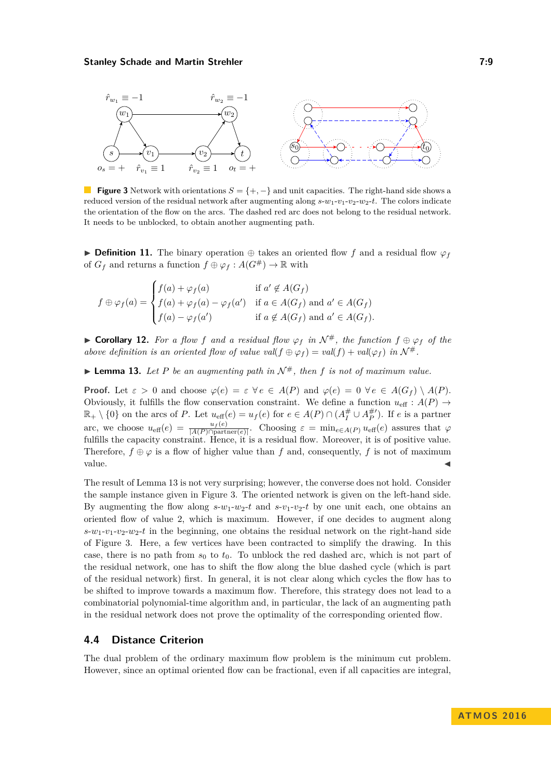<span id="page-8-1"></span>

**Figure 3** Network with orientations  $S = \{+, -\}$  and unit capacities. The right-hand side shows a reduced version of the residual network after augmenting along *s*-*w*1-*v*1-*v*2-*w*2-*t*. The colors indicate the orientation of the flow on the arcs. The dashed red arc does not belong to the residual network. It needs to be unblocked, to obtain another augmenting path.

**► Definition 11.** The binary operation  $\oplus$  takes an oriented flow *f* and a residual flow  $\varphi$ *f* of  $G_f$  and returns a function  $f \oplus \varphi_f : A(G^{\#}) \to \mathbb{R}$  with

$$
f \oplus \varphi_f(a) = \begin{cases} f(a) + \varphi_f(a) & \text{if } a' \notin A(G_f) \\ f(a) + \varphi_f(a) - \varphi_f(a') & \text{if } a \in A(G_f) \text{ and } a' \in A(G_f) \\ f(a) - \varphi_f(a') & \text{if } a \notin A(G_f) \text{ and } a' \in A(G_f). \end{cases}
$$

**► Corollary 12.** For a flow f and a residual flow  $\varphi_f$  in  $\mathcal{N}^{\#}$ , the function  $f \oplus \varphi_f$  of the *above definition is an oriented flow of value val(f*  $\oplus \varphi_f$ ) = *val(f*) + *val*( $\varphi_f$ ) *in*  $\mathcal{N}^{\#}$ .

<span id="page-8-0"></span> $\blacktriangleright$  **Lemma 13.** Let P be an augmenting path in  $\mathcal{N}^{\#}$ , then f is not of maximum value.

**Proof.** Let  $\varepsilon > 0$  and choose  $\varphi(e) = \varepsilon \ \forall e \in A(P)$  and  $\varphi(e) = 0 \ \forall e \in A(G_f) \setminus A(P)$ . Obviously, it fulfills the flow conservation constraint. We define a function  $u_{\text{eff}}: A(P) \rightarrow$  $\mathbb{R}_+ \setminus \{0\}$  on the arcs of *P*. Let  $u_{\text{eff}}(e) = u_f(e)$  for  $e \in A(P) \cap (A_I^{\#} \cup A_P^{\#})$ . If *e* is a partner arc, we choose  $u_{\text{eff}}(e) = \frac{u_f(e)}{|A(P) \cap \text{partner}(e)|}$ . Choosing  $\varepsilon = \min_{e \in A(P)} u_{\text{eff}}(e)$  assures that  $\varphi$ fulfills the capacity constraint. Hence, it is a residual flow. Moreover, it is of positive value. Therefore,  $f \oplus \varphi$  is a flow of higher value than f and, consequently, f is not of maximum value.  $\triangleleft$ 

The result of Lemma [13](#page-8-0) is not very surprising; however, the converse does not hold. Consider the sample instance given in Figure [3.](#page-8-1) The oriented network is given on the left-hand side. By augmenting the flow along  $s-w_1-w_2$ -*t* and  $s-v_1-v_2$ -*t* by one unit each, one obtains an oriented flow of value 2, which is maximum. However, if one decides to augment along  $s-w_1-v_2-w_2-t$  in the beginning, one obtains the residual network on the right-hand side of Figure [3.](#page-8-1) Here, a few vertices have been contracted to simplify the drawing. In this case, there is no path from  $s_0$  to  $t_0$ . To unblock the red dashed arc, which is not part of the residual network, one has to shift the flow along the blue dashed cycle (which is part of the residual network) first. In general, it is not clear along which cycles the flow has to be shifted to improve towards a maximum flow. Therefore, this strategy does not lead to a combinatorial polynomial-time algorithm and, in particular, the lack of an augmenting path in the residual network does not prove the optimality of the corresponding oriented flow.

## <span id="page-8-2"></span>**4.4 Distance Criterion**

The dual problem of the ordinary maximum flow problem is the minimum cut problem. However, since an optimal oriented flow can be fractional, even if all capacities are integral,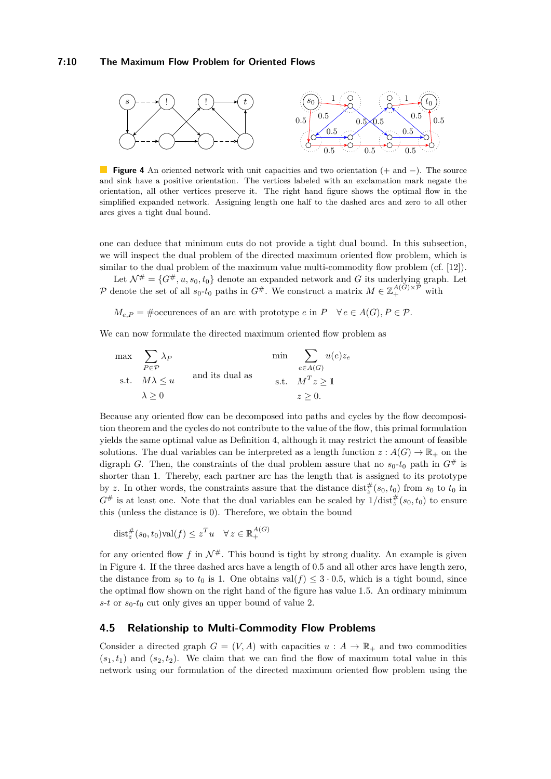#### **7:10 The Maximum Flow Problem for Oriented Flows**

<span id="page-9-0"></span>

**Figure 4** An oriented network with unit capacities and two orientation (+ and −). The source and sink have a positive orientation. The vertices labeled with an exclamation mark negate the orientation, all other vertices preserve it. The right hand figure shows the optimal flow in the simplified expanded network. Assigning length one half to the dashed arcs and zero to all other arcs gives a tight dual bound.

one can deduce that minimum cuts do not provide a tight dual bound. In this subsection, we will inspect the dual problem of the directed maximum oriented flow problem, which is similar to the dual problem of the maximum value multi-commodity flow problem (cf. [\[12\]](#page-12-14)).

Let  $\mathcal{N}^{\#} = \{G^{\#}, u, s_0, t_0\}$  denote an expanded network and *G* its underlying graph. Let P denote the set of all  $s_0$ - $t_0$  paths in  $G^{\#}$ . We construct a matrix  $M \in \mathbb{Z}_+^{A(G) \times \mathcal{P}}$  with

 $M_{e,P}$  = #occurences of an arc with prototype *e* in  $P \quad \forall e \in A(G), P \in \mathcal{P}$ .

We can now formulate the directed maximum oriented flow problem as

$$
\begin{aligned}\n\max \quad & \sum_{P \in \mathcal{P}} \lambda_P \\
\text{s.t.} \quad & M\lambda \le u \\
\lambda \ge 0\n\end{aligned}\n\quad\n\text{and its dual as}\n\quad\n\begin{aligned}\n\min \quad & \sum_{e \in A(G)} u(e)z_e \\
\text{s.t.} \quad & M^T z \ge 1 \\
& z \ge 0.\n\end{aligned}
$$

Because any oriented flow can be decomposed into paths and cycles by the flow decomposition theorem and the cycles do not contribute to the value of the flow, this primal formulation yields the same optimal value as Definition [4,](#page-5-1) although it may restrict the amount of feasible solutions. The dual variables can be interpreted as a length function  $z: A(G) \to \mathbb{R}_+$  on the digraph *G*. Then, the constraints of the dual problem assure that no  $s_0$ - $t_0$  path in  $G^{\#}$  is shorter than 1. Thereby, each partner arc has the length that is assigned to its prototype by *z*. In other words, the constraints assure that the distance  $dist_z^{\#}(s_0, t_0)$  from  $s_0$  to  $t_0$  in  $G^{\#}$  is at least one. Note that the dual variables can be scaled by  $1/\text{dist}^{\#}_z(s_0, t_0)$  to ensure this (unless the distance is 0). Therefore, we obtain the bound

$$
\text{dist}_{z}^{\#}(s_0, t_0) \text{val}(f) \leq z^T u \quad \forall \, z \in \mathbb{R}_+^{A(G)}
$$

for any oriented flow  $f$  in  $\mathcal{N}^{\#}$ . This bound is tight by strong duality. An example is given in Figure [4.](#page-9-0) If the three dashed arcs have a length of 0.5 and all other arcs have length zero, the distance from  $s_0$  to  $t_0$  is 1. One obtains val( $f$ )  $\leq$  3 · 0.5, which is a tight bound, since the optimal flow shown on the right hand of the figure has value 1.5. An ordinary minimum  $s$ -*t* or  $s_0$ -*t*<sub>0</sub> cut only gives an upper bound of value 2.

#### **4.5 Relationship to Multi-Commodity Flow Problems**

Consider a directed graph  $G = (V, A)$  with capacities  $u : A \to \mathbb{R}_+$  and two commodities  $(s_1, t_1)$  and  $(s_2, t_2)$ . We claim that we can find the flow of maximum total value in this network using our formulation of the directed maximum oriented flow problem using the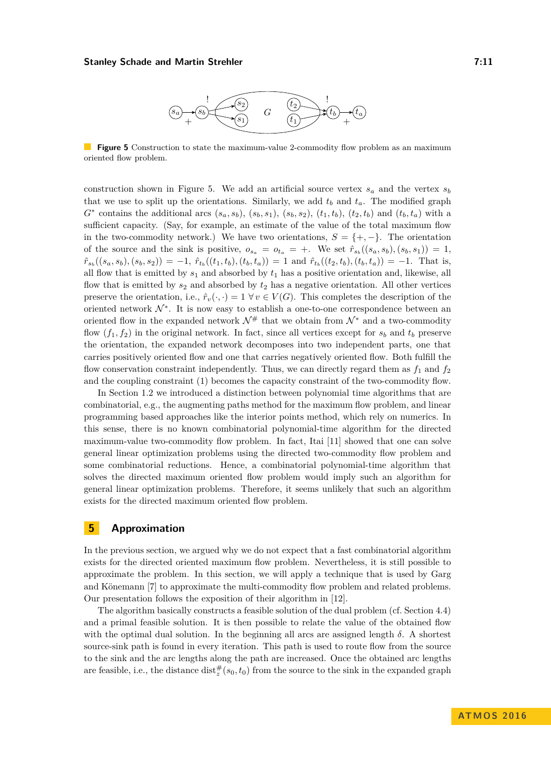

<span id="page-10-1"></span>**Figure 5** Construction to state the maximum-value 2-commodity flow problem as an maximum oriented flow problem.

construction shown in Figure [5.](#page-10-1) We add an artificial source vertex  $s_a$  and the vertex  $s_b$ that we use to split up the orientations. Similarly, we add  $t<sub>b</sub>$  and  $t<sub>a</sub>$ . The modified graph  $G^*$  contains the additional arcs  $(s_a, s_b), (s_b, s_1), (s_b, s_2), (t_1, t_b), (t_2, t_b)$  and  $(t_b, t_a)$  with a sufficient capacity. (Say, for example, an estimate of the value of the total maximum flow in the two-commodity network.) We have two orientations,  $S = \{+, -\}.$  The orientation of the source and the sink is positive,  $o_{s_a} = o_{t_a} = +$ . We set  $\hat{r}_{s_b}((s_a, s_b), (s_b, s_1)) = 1$ ,  $\hat{r}_{s_b}((s_a,s_b),(s_b,s_2)) = -1, \ \hat{r}_{t_b}((t_1,t_b),(t_b,t_a)) = 1 \text{ and } \hat{r}_{t_b}((t_2,t_b),(t_b,t_a)) = -1. \text{ That is,}$ all flow that is emitted by  $s_1$  and absorbed by  $t_1$  has a positive orientation and, likewise, all flow that is emitted by  $s_2$  and absorbed by  $t_2$  has a negative orientation. All other vertices preserve the orientation, i.e.,  $\hat{r}_v(\cdot, \cdot) = 1 \ \forall v \in V(G)$ . This completes the description of the oriented network  $\mathcal{N}^*$ . It is now easy to establish a one-to-one correspondence between an oriented flow in the expanded network  $\mathcal{N}^{\#}$  that we obtain from  $\mathcal{N}^*$  and a two-commodity flow  $(f_1, f_2)$  in the original network. In fact, since all vertices except for  $s_b$  and  $t_b$  preserve the orientation, the expanded network decomposes into two independent parts, one that carries positively oriented flow and one that carries negatively oriented flow. Both fulfill the flow conservation constraint independently. Thus, we can directly regard them as  $f_1$  and  $f_2$ and the coupling constraint [\(1\)](#page-5-0) becomes the capacity constraint of the two-commodity flow.

In Section [1.2](#page-1-1) we introduced a distinction between polynomial time algorithms that are combinatorial, e.g., the augmenting paths method for the maximum flow problem, and linear programming based approaches like the interior points method, which rely on numerics. In this sense, there is no known combinatorial polynomial-time algorithm for the directed maximum-value two-commodity flow problem. In fact, Itai [\[11\]](#page-12-12) showed that one can solve general linear optimization problems using the directed two-commodity flow problem and some combinatorial reductions. Hence, a combinatorial polynomial-time algorithm that solves the directed maximum oriented flow problem would imply such an algorithm for general linear optimization problems. Therefore, it seems unlikely that such an algorithm exists for the directed maximum oriented flow problem.

## <span id="page-10-0"></span>**5 Approximation**

In the previous section, we argued why we do not expect that a fast combinatorial algorithm exists for the directed oriented maximum flow problem. Nevertheless, it is still possible to approximate the problem. In this section, we will apply a technique that is used by Garg and Könemann [\[7\]](#page-12-15) to approximate the multi-commodity flow problem and related problems. Our presentation follows the exposition of their algorithm in [\[12\]](#page-12-14).

The algorithm basically constructs a feasible solution of the dual problem (cf. Section [4.4\)](#page-8-2) and a primal feasible solution. It is then possible to relate the value of the obtained flow with the optimal dual solution. In the beginning all arcs are assigned length  $\delta$ . A shortest source-sink path is found in every iteration. This path is used to route flow from the source to the sink and the arc lengths along the path are increased. Once the obtained arc lengths are feasible, i.e., the distance  $dist_z^{\#}(s_0, t_0)$  from the source to the sink in the expanded graph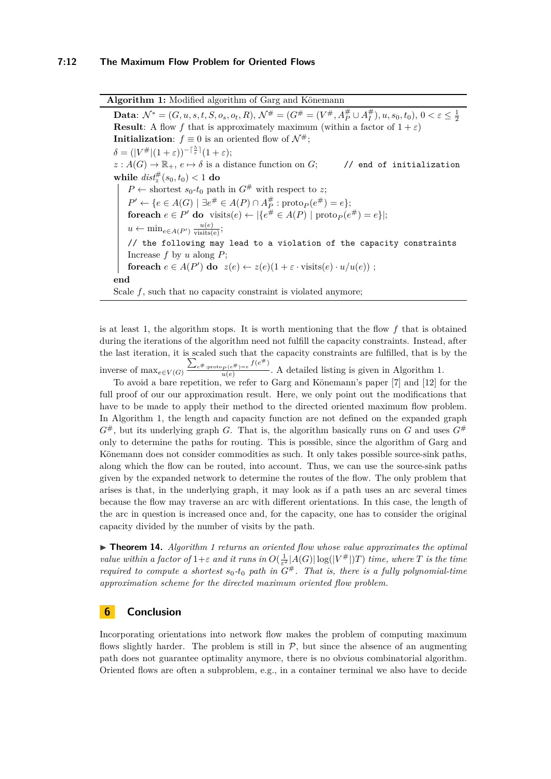**Algorithm 1:** Modified algorithm of Garg and Könemann **Data**:  $\mathcal{N}^* = (G, u, s, t, S, o_s, o_t, R), \mathcal{N}^{\#} = (G^{\#} = (V^{\#}, A_P^{\#} \cup A_I^{\#}), u, s_0, t_0), 0 < \varepsilon \leq \frac{1}{2}$ **Result**: A flow *f* that is approximately maximum (within a factor of  $1 + \varepsilon$ ) **Initialization**:  $f \equiv 0$  is an oriented flow of  $\mathcal{N}^{\#}$ ;  $\delta = (|V^{\#}|(1+\varepsilon))^{-\lceil \frac{5}{\varepsilon} \rceil}(1+\varepsilon);$  $z: A(G) \to \mathbb{R}_+$ ,  $e \mapsto \delta$  is a distance function on *G*; // end of initialization  $\textbf{while} \; dist_z^{\#}(s_0, t_0) < 1 \; \textbf{do}$  $P \leftarrow$  shortest *s*<sub>0</sub>-*t*<sub>0</sub> path in  $G^{\#}$  with respect to *z*; *P*<sup> $\prime$ </sup> ← {*e* ∈ *A*(*G*) | ∃*e*<sup>#</sup> ∈ *A*(*P*) ∩ *A*<sup>#</sup><sub>*P*</sub> : proto<sub>*P*</sub>(*e*<sup>#</sup>) = *e*}; **foreach**  $e \in P'$  **do** visits $(e) \leftarrow |\{e^{\#} \in A(P) \mid \text{proto}_P(e^{\#}) = e\}|;$  $u \leftarrow \min_{e \in A(P')} \frac{u(e)}{\text{visits}(e)}$ // the following may lead to a violation of the capacity constraints Increase *f* by *u* along *P*; **foreach**  $e \in A(P')$  **do**  $z(e) \leftarrow z(e)(1 + \varepsilon \cdot \text{visits}(e) \cdot u/u(e))$ ; **end** Scale  $f$ , such that no capacity constraint is violated anymore;

<span id="page-11-0"></span>is at least 1, the algorithm stops. It is worth mentioning that the flow *f* that is obtained during the iterations of the algorithm need not fulfill the capacity constraints. Instead, after the last iteration, it is scaled such that the capacity constraints are fulfilled, that is by the

inverse of  $\max_{e \in V(G)}$  $\sum_{e \text{#:proto}_P(e^{\#})=e} f(e^{\#})$  $u(e)$  is  $\overline{u(e)}$ . A detailed listing is given in Algorithm [1.](#page-11-0)

To avoid a bare repetition, we refer to Garg and Könemann's paper [\[7\]](#page-12-15) and [\[12\]](#page-12-14) for the full proof of our our approximation result. Here, we only point out the modifications that have to be made to apply their method to the directed oriented maximum flow problem. In Algorithm [1,](#page-11-0) the length and capacity function are not defined on the expanded graph  $G^{\#}$ , but its underlying graph *G*. That is, the algorithm basically runs on *G* and uses  $G^{\#}$ only to determine the paths for routing. This is possible, since the algorithm of Garg and Könemann does not consider commodities as such. It only takes possible source-sink paths, along which the flow can be routed, into account. Thus, we can use the source-sink paths given by the expanded network to determine the routes of the flow. The only problem that arises is that, in the underlying graph, it may look as if a path uses an arc several times because the flow may traverse an arc with different orientations. In this case, the length of the arc in question is increased once and, for the capacity, one has to consider the original capacity divided by the number of visits by the path.

I **Theorem 14.** *Algorithm [1](#page-11-0) returns an oriented flow whose value approximates the optimal value within a factor of*  $1+\varepsilon$  *and it runs in*  $O(\frac{1}{\varepsilon^2}|A(G)|\log(|V^{\#}|)T)$  *time, where T is the time required to compute a shortest*  $s_0$ - $t_0$  *path in*  $G^{\#}$ *. That is, there is a fully polynomial-time approximation scheme for the directed maximum oriented flow problem.*

# **6 Conclusion**

Incorporating orientations into network flow makes the problem of computing maximum flows slightly harder. The problem is still in  $P$ , but since the absence of an augmenting path does not guarantee optimality anymore, there is no obvious combinatorial algorithm. Oriented flows are often a subproblem, e.g., in a container terminal we also have to decide